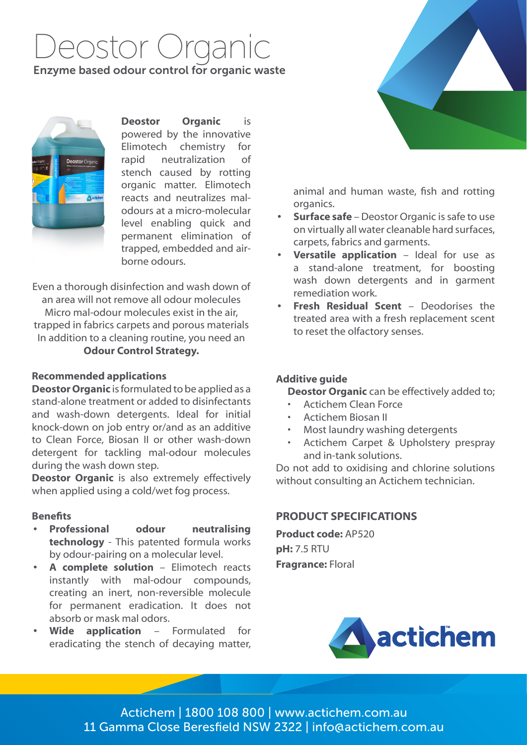# Deostor Organic

# Enzyme based odour control for organic waste



**Deostor Organic** is powered by the innovative Elimotech chemistry for rapid neutralization of stench caused by rotting organic matter. Elimotech reacts and neutralizes malodours at a micro-molecular level enabling quick and permanent elimination of trapped, embedded and airborne odours.

Even a thorough disinfection and wash down of an area will not remove all odour molecules Micro mal-odour molecules exist in the air, trapped in fabrics carpets and porous materials In addition to a cleaning routine, you need an **Odour Control Strategy.**

### **Recommended applications**

**Deostor Organic** is formulated to be applied as a stand-alone treatment or added to disinfectants and wash-down detergents. Ideal for initial knock-down on job entry or/and as an additive to Clean Force, Biosan II or other wash-down detergent for tackling mal-odour molecules during the wash down step.

**Deostor Organic** is also extremely effectively when applied using a cold/wet fog process.

#### **Benefits**

- **• Professional odour neutralising technology** - This patented formula works by odour-pairing on a molecular level.
- **• A complete solution** Elimotech reacts instantly with mal-odour compounds, creating an inert, non-reversible molecule for permanent eradication. It does not absorb or mask mal odors.
- **• Wide application** Formulated for eradicating the stench of decaying matter,



animal and human waste, fish and rotting organics.

- **• Surface safe** Deostor Organic is safe to use on virtually all water cleanable hard surfaces, carpets, fabrics and garments.
- **• Versatile application** Ideal for use as a stand-alone treatment, for boosting wash down detergents and in garment remediation work.
- **• Fresh Residual Scent** Deodorises the treated area with a fresh replacement scent to reset the olfactory senses.

#### **Additive guide**

**Deostor Organic** can be effectively added to;

- Actichem Clean Force
- Actichem Biosan II
- Most laundry washing detergents
- Actichem Carpet & Upholstery prespray and in-tank solutions.

Do not add to oxidising and chlorine solutions without consulting an Actichem technician.

# **PRODUCT SPECIFICATIONS**

**Product code:** AP520 **pH:** 7.5 RTU **Fragrance:** Floral



Actichem | 1800 108 800 | www.actichem.com.au 11 Gamma Close Beresfield NSW 2322 | info@actichem.com.au